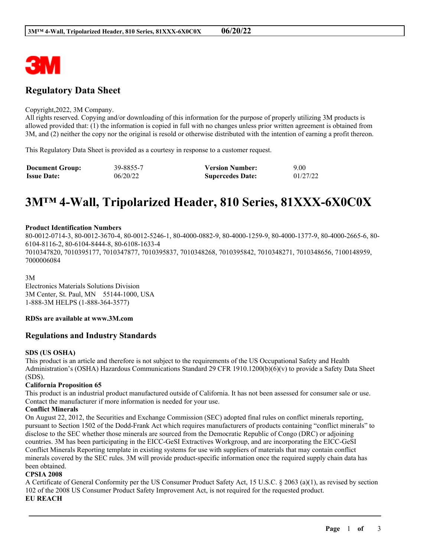

# **Regulatory Data Sheet**

#### Copyright,2022, 3M Company.

All rights reserved. Copying and/or downloading of this information for the purpose of properly utilizing 3M products is allowed provided that: (1) the information is copied in full with no changes unless prior written agreement is obtained from 3M, and (2) neither the copy nor the original is resold or otherwise distributed with the intention of earning a profit thereon.

This Regulatory Data Sheet is provided as a courtesy in response to a customer request.

| <b>Document Group:</b> | 39-8855-7 | <b>Version Number:</b>  | 9.00     |
|------------------------|-----------|-------------------------|----------|
| <b>Issue Date:</b>     | 06/20/22  | <b>Supercedes Date:</b> | 01/27/22 |

# **3M™ 4-Wall, Tripolarized Header, 810 Series, 81XXX-6X0C0X**

#### **Product Identification Numbers**

80-0012-0714-3, 80-0012-3670-4, 80-0012-5246-1, 80-4000-0882-9, 80-4000-1259-9, 80-4000-1377-9, 80-4000-2665-6, 80- 6104-8116-2, 80-6104-8444-8, 80-6108-1633-4 7010347820, 7010395177, 7010347877, 7010395837, 7010348268, 7010395842, 7010348271, 7010348656, 7100148959, 7000006084

3M

Electronics Materials Solutions Division 3M Center, St. Paul, MN 55144-1000, USA 1-888-3M HELPS (1-888-364-3577)

# **RDSs are available at www.3M.com**

# **Regulations and Industry Standards**

# **SDS (US OSHA)**

This product is an article and therefore is not subject to the requirements of the US Occupational Safety and Health Administration's (OSHA) Hazardous Communications Standard 29 CFR 1910.1200(b)(6)(v) to provide a Safety Data Sheet (SDS).

# **California Proposition 65**

This product is an industrial product manufactured outside of California. It has not been assessed for consumer sale or use. Contact the manufacturer if more information is needed for your use.

# **Conflict Minerals**

On August 22, 2012, the Securities and Exchange Commission (SEC) adopted final rules on conflict minerals reporting, pursuant to Section 1502 of the Dodd-Frank Act which requires manufacturers of products containing "conflict minerals" to disclose to the SEC whether those minerals are sourced from the Democratic Republic of Congo (DRC) or adjoining countries. 3M has been participating in the EICC-GeSI Extractives Workgroup, and are incorporating the EICC-GeSI Conflict Minerals Reporting template in existing systems for use with suppliers of materials that may contain conflict minerals covered by the SEC rules. 3M will provide product-specific information once the required supply chain data has been obtained.

# **CPSIA 2008**

A Certificate of General Conformity per the US Consumer Product Safety Act, 15 U.S.C. § 2063 (a)(1), as revised by section 102 of the 2008 US Consumer Product Safety Improvement Act, is not required for the requested product. **EU REACH**

\_\_\_\_\_\_\_\_\_\_\_\_\_\_\_\_\_\_\_\_\_\_\_\_\_\_\_\_\_\_\_\_\_\_\_\_\_\_\_\_\_\_\_\_\_\_\_\_\_\_\_\_\_\_\_\_\_\_\_\_\_\_\_\_\_\_\_\_\_\_\_\_\_\_\_\_\_\_\_\_\_\_\_\_\_\_\_\_\_\_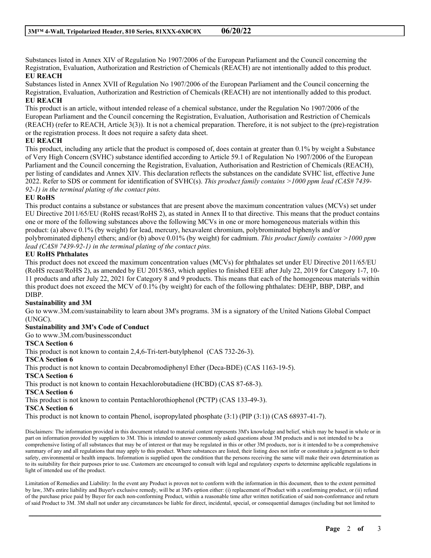Substances listed in Annex XIV of Regulation No 1907/2006 of the European Parliament and the Council concerning the Registration, Evaluation, Authorization and Restriction of Chemicals (REACH) are not intentionally added to this product. **EU REACH**

Substances listed in Annex XVII of Regulation No 1907/2006 of the European Parliament and the Council concerning the Registration, Evaluation, Authorization and Restriction of Chemicals (REACH) are not intentionally added to this product. **EU REACH**

This product is an article, without intended release of a chemical substance, under the Regulation No 1907/2006 of the European Parliament and the Council concerning the Registration, Evaluation, Authorisation and Restriction of Chemicals (REACH) (refer to REACH, Article 3(3)). It is not a chemical preparation. Therefore, it is not subject to the (pre)-registration or the registration process. It does not require a safety data sheet.

# **EU REACH**

This product, including any article that the product is composed of, does contain at greater than 0.1% by weight a Substance of Very High Concern (SVHC) substance identified according to Article 59.1 of Regulation No 1907/2006 of the European Parliament and the Council concerning the Registration, Evaluation, Authorisation and Restriction of Chemicals (REACH), per listing of candidates and Annex XIV. This declaration reflects the substances on the candidate SVHC list, effective June 2022. Refer to SDS or comment for identification of SVHC(s). *This product family contains >1000 ppm lead (CAS# 7439- 92-1) in the terminal plating of the contact pins.*

# **EU RoHS**

This product contains a substance or substances that are present above the maximum concentration values (MCVs) set under EU Directive 2011/65/EU (RoHS recast/RoHS 2), as stated in Annex II to that directive. This means that the product contains one or more of the following substances above the following MCVs in one or more homogeneous materials within this product: (a) above 0.1% (by weight) for lead, mercury, hexavalent chromium, polybrominated biphenyls and/or polybrominated diphenyl ethers; and/or (b) above 0.01% (by weight) for cadmium. *This product family contains >1000 ppm lead (CAS# 7439-92-1) in the terminal plating of the contact pins.*

#### **EU RoHS Phthalates**

This product does not exceed the maximum concentration values (MCVs) for phthalates set under EU Directive 2011/65/EU (RoHS recast/RoHS 2), as amended by EU 2015/863, which applies to finished EEE after July 22, 2019 for Category 1-7, 10- 11 products and after July 22, 2021 for Category 8 and 9 products. This means that each of the homogeneous materials within this product does not exceed the MCV of 0.1% (by weight) for each of the following phthalates: DEHP, BBP, DBP, and DIBP.

# **Sustainability and 3M**

Go to www.3M.com/sustainability to learn about 3M's programs. 3M is a signatory of the United Nations Global Compact (UNGC).

# **Sustainability and 3M's Code of Conduct**

Go to www.3M.com/businessconduct

#### **TSCA Section 6**

This product is not known to contain 2,4,6-Tri-tert-butylphenol (CAS 732-26-3).

#### **TSCA Section 6**

This product is not known to contain Decabromodiphenyl Ether (Deca-BDE) (CAS 1163-19-5).

#### **TSCA Section 6**

This product is not known to contain Hexachlorobutadiene (HCBD) (CAS 87-68-3).

#### **TSCA Section 6**

This product is not known to contain Pentachlorothiophenol (PCTP) (CAS 133-49-3).

#### **TSCA Section 6**

This product is not known to contain Phenol, isopropylated phosphate (3:1) (PIP (3:1)) (CAS 68937-41-7).

Disclaimers: The information provided in this document related to material content represents 3M's knowledge and belief, which may be based in whole or in part on information provided by suppliers to 3M. This is intended to answer commonly asked questions about 3M products and is not intended to be a comprehensive listing of all substances that may be of interest or that may be regulated in this or other 3M products, nor is it intended to be a comprehensive summary of any and all regulations that may apply to this product. Where substances are listed, their listing does not infer or constitute a judgment as to their safety, environmental or health impacts. Information is supplied upon the condition that the persons receiving the same will make their own determination as to its suitability for their purposes prior to use. Customers are encouraged to consult with legal and regulatory experts to determine applicable regulations in light of intended use of the product.

Limitation of Remedies and Liability: In the event any Product is proven not to conform with the information in this document, then to the extent permitted by law, 3M's entire liability and Buyer's exclusive remedy, will be at 3M's option either: (i) replacement of Product with a conforming product, or (ii) refund of the purchase price paid by Buyer for each non-conforming Product, within a reasonable time after written notification of said non-conformance and return of said Product to 3M. 3M shall not under any circumstances be liable for direct, incidental, special, or consequential damages (including but not limited to

\_\_\_\_\_\_\_\_\_\_\_\_\_\_\_\_\_\_\_\_\_\_\_\_\_\_\_\_\_\_\_\_\_\_\_\_\_\_\_\_\_\_\_\_\_\_\_\_\_\_\_\_\_\_\_\_\_\_\_\_\_\_\_\_\_\_\_\_\_\_\_\_\_\_\_\_\_\_\_\_\_\_\_\_\_\_\_\_\_\_